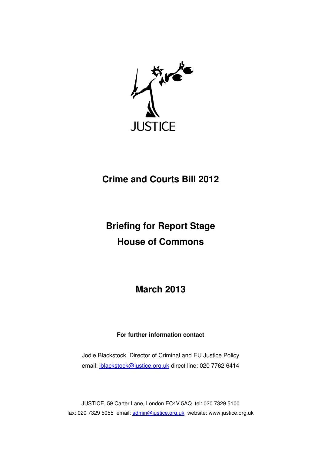

# **Crime and Courts Bill 2012**

# **Briefing for Report Stage House of Commons**

**March 2013** 

# **For further information contact**

Jodie Blackstock, Director of Criminal and EU Justice Policy email: jblackstock@justice.org.uk direct line: 020 7762 6414

JUSTICE, 59 Carter Lane, London EC4V 5AQ tel: 020 7329 5100 fax: 020 7329 5055 email: admin@justice.org.uk website: www.justice.org.uk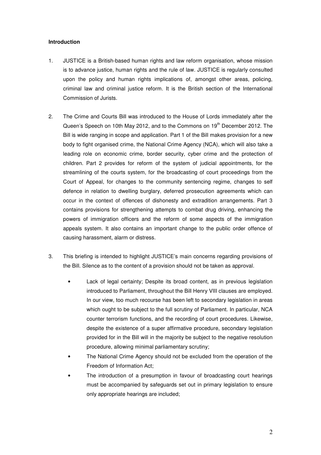#### **Introduction**

- 1. JUSTICE is a British-based human rights and law reform organisation, whose mission is to advance justice, human rights and the rule of law. JUSTICE is regularly consulted upon the policy and human rights implications of, amongst other areas, policing, criminal law and criminal justice reform. It is the British section of the International Commission of Jurists.
- 2. The Crime and Courts Bill was introduced to the House of Lords immediately after the Queen's Speech on 10th May 2012, and to the Commons on  $19<sup>th</sup>$  December 2012. The Bill is wide ranging in scope and application. Part 1 of the Bill makes provision for a new body to fight organised crime, the National Crime Agency (NCA), which will also take a leading role on economic crime, border security, cyber crime and the protection of children. Part 2 provides for reform of the system of judicial appointments, for the streamlining of the courts system, for the broadcasting of court proceedings from the Court of Appeal, for changes to the community sentencing regime, changes to self defence in relation to dwelling burglary, deferred prosecution agreements which can occur in the context of offences of dishonesty and extradition arrangements. Part 3 contains provisions for strengthening attempts to combat drug driving, enhancing the powers of immigration officers and the reform of some aspects of the immigration appeals system. It also contains an important change to the public order offence of causing harassment, alarm or distress.
- 3. This briefing is intended to highlight JUSTICE's main concerns regarding provisions of the Bill. Silence as to the content of a provision should not be taken as approval.
	- Lack of legal certainty; Despite its broad content, as in previous legislation introduced to Parliament, throughout the Bill Henry VIII clauses are employed. In our view, too much recourse has been left to secondary legislation in areas which ought to be subject to the full scrutiny of Parliament. In particular, NCA counter terrorism functions, and the recording of court procedures. Likewise, despite the existence of a super affirmative procedure, secondary legislation provided for in the Bill will in the majority be subject to the negative resolution procedure, allowing minimal parliamentary scrutiny;
	- The National Crime Agency should not be excluded from the operation of the Freedom of Information Act;
	- The introduction of a presumption in favour of broadcasting court hearings must be accompanied by safeguards set out in primary legislation to ensure only appropriate hearings are included;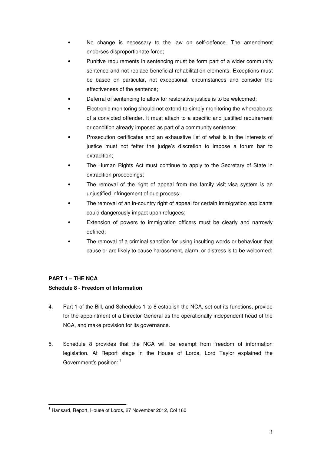- No change is necessary to the law on self-defence. The amendment endorses disproportionate force;
- Punitive requirements in sentencing must be form part of a wider community sentence and not replace beneficial rehabilitation elements. Exceptions must be based on particular, not exceptional, circumstances and consider the effectiveness of the sentence;
- Deferral of sentencing to allow for restorative justice is to be welcomed;
- Electronic monitoring should not extend to simply monitoring the whereabouts of a convicted offender. It must attach to a specific and justified requirement or condition already imposed as part of a community sentence;
- Prosecution certificates and an exhaustive list of what is in the interests of justice must not fetter the judge's discretion to impose a forum bar to extradition;
- The Human Rights Act must continue to apply to the Secretary of State in extradition proceedings;
- The removal of the right of appeal from the family visit visa system is an unjustified infringement of due process;
- The removal of an in-country right of appeal for certain immigration applicants could dangerously impact upon refugees;
- Extension of powers to immigration officers must be clearly and narrowly defined;
- The removal of a criminal sanction for using insulting words or behaviour that cause or are likely to cause harassment, alarm, or distress is to be welcomed;

## **PART 1 – THE NCA**

 $\overline{a}$ 

## **Schedule 8 - Freedom of Information**

- 4. Part 1 of the Bill, and Schedules 1 to 8 establish the NCA, set out its functions, provide for the appointment of a Director General as the operationally independent head of the NCA, and make provision for its governance.
- 5. Schedule 8 provides that the NCA will be exempt from freedom of information legislation. At Report stage in the House of Lords, Lord Taylor explained the Government's position:  $1$

<sup>&</sup>lt;sup>1</sup> Hansard, Report, House of Lords, 27 November 2012, Col 160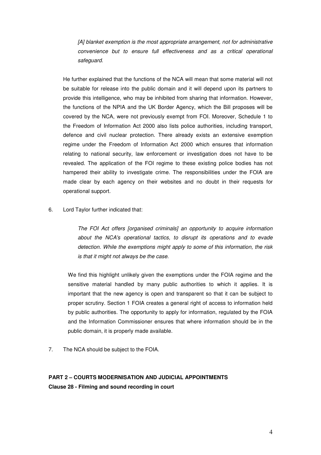[A] blanket exemption is the most appropriate arrangement, not for administrative convenience but to ensure full effectiveness and as a critical operational safeguard.

He further explained that the functions of the NCA will mean that some material will not be suitable for release into the public domain and it will depend upon its partners to provide this intelligence, who may be inhibited from sharing that information. However, the functions of the NPIA and the UK Border Agency, which the Bill proposes will be covered by the NCA, were not previously exempt from FOI. Moreover, Schedule 1 to the Freedom of Information Act 2000 also lists police authorities, including transport, defence and civil nuclear protection. There already exists an extensive exemption regime under the Freedom of Information Act 2000 which ensures that information relating to national security, law enforcement or investigation does not have to be revealed. The application of the FOI regime to these existing police bodies has not hampered their ability to investigate crime. The responsibilities under the FOIA are made clear by each agency on their websites and no doubt in their requests for operational support.

6. Lord Taylor further indicated that:

The FOI Act offers [organised criminals] an opportunity to acquire information about the NCA's operational tactics, to disrupt its operations and to evade detection. While the exemptions might apply to some of this information, the risk is that it might not always be the case.

We find this highlight unlikely given the exemptions under the FOIA regime and the sensitive material handled by many public authorities to which it applies. It is important that the new agency is open and transparent so that it can be subject to proper scrutiny. Section 1 FOIA creates a general right of access to information held by public authorities. The opportunity to apply for information, regulated by the FOIA and the Information Commissioner ensures that where information should be in the public domain, it is properly made available.

7. The NCA should be subject to the FOIA.

#### **PART 2 – COURTS MODERNISATION AND JUDICIAL APPOINTMENTS**

**Clause 28 - Filming and sound recording in court**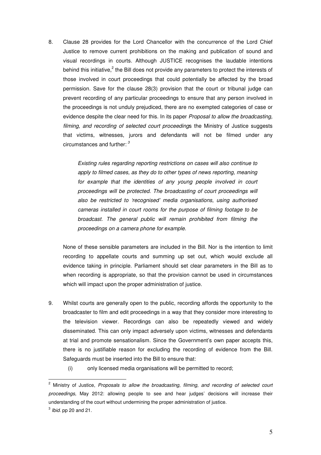8. Clause 28 provides for the Lord Chancellor with the concurrence of the Lord Chief Justice to remove current prohibitions on the making and publication of sound and visual recordings in courts. Although JUSTICE recognises the laudable intentions behind this initiative, $2$  the Bill does not provide any parameters to protect the interests of those involved in court proceedings that could potentially be affected by the broad permission. Save for the clause 28(3) provision that the court or tribunal judge can prevent recording of any particular proceedings to ensure that any person involved in the proceedings is not unduly prejudiced, there are no exempted categories of case or evidence despite the clear need for this. In its paper Proposal to allow the broadcasting, filming, and recording of selected court proceedings the Ministry of Justice suggests that victims, witnesses, jurors and defendants will not be filmed under any circumstances and further:  $3$ 

> Existing rules regarding reporting restrictions on cases will also continue to apply to filmed cases, as they do to other types of news reporting, meaning for example that the identities of any young people involved in court proceedings will be protected. The broadcasting of court proceedings will also be restricted to 'recognised' media organisations, using authorised cameras installed in court rooms for the purpose of filming footage to be broadcast. The general public will remain prohibited from filming the proceedings on a camera phone for example.

None of these sensible parameters are included in the Bill. Nor is the intention to limit recording to appellate courts and summing up set out, which would exclude all evidence taking in principle. Parliament should set clear parameters in the Bill as to when recording is appropriate, so that the provision cannot be used in circumstances which will impact upon the proper administration of justice.

- 9. Whilst courts are generally open to the public, recording affords the opportunity to the broadcaster to film and edit proceedings in a way that they consider more interesting to the television viewer. Recordings can also be repeatedly viewed and widely disseminated. This can only impact adversely upon victims, witnesses and defendants at trial and promote sensationalism. Since the Government's own paper accepts this, there is no justifiable reason for excluding the recording of evidence from the Bill. Safeguards must be inserted into the Bill to ensure that:
	- (i) only licensed media organisations will be permitted to record;

<sup>&</sup>lt;sup>2</sup> Ministry of Justice, Proposals to allow the broadcasting, filming, and recording of selected court proceedings, May 2012: allowing people to see and hear judges' decisions will increase their understanding of the court without undermining the proper administration of justice.

 $^3$  *lbid.* pp 20 and 21.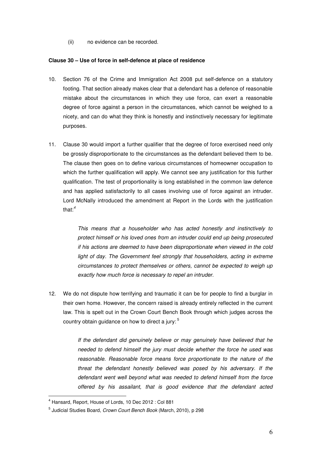(ii) no evidence can be recorded.

#### **Clause 30 – Use of force in self-defence at place of residence**

- 10. Section 76 of the Crime and Immigration Act 2008 put self-defence on a statutory footing. That section already makes clear that a defendant has a defence of reasonable mistake about the circumstances in which they use force, can exert a reasonable degree of force against a person in the circumstances, which cannot be weighed to a nicety, and can do what they think is honestly and instinctively necessary for legitimate purposes.
- 11. Clause 30 would import a further qualifier that the degree of force exercised need only be grossly disproportionate to the circumstances as the defendant believed them to be. The clause then goes on to define various circumstances of homeowner occupation to which the further qualification will apply. We cannot see any justification for this further qualification. The test of proportionality is long established in the common law defence and has applied satisfactorily to all cases involving use of force against an intruder. Lord McNally introduced the amendment at Report in the Lords with the justification that:<sup>4</sup>

This means that a householder who has acted honestly and instinctively to protect himself or his loved ones from an intruder could end up being prosecuted if his actions are deemed to have been disproportionate when viewed in the cold light of day. The Government feel strongly that householders, acting in extreme circumstances to protect themselves or others, cannot be expected to weigh up exactly how much force is necessary to repel an intruder.

12. We do not dispute how terrifying and traumatic it can be for people to find a burglar in their own home. However, the concern raised is already entirely reflected in the current law. This is spelt out in the Crown Court Bench Book through which judges across the country obtain guidance on how to direct a jury:  $5$ 

> If the defendant did genuinely believe or may genuinely have believed that he needed to defend himself the jury must decide whether the force he used was reasonable. Reasonable force means force proportionate to the nature of the threat the defendant honestly believed was posed by his adversary. If the defendant went well beyond what was needed to defend himself from the force offered by his assailant, that is good evidence that the defendant acted

<sup>4</sup> Hansard, Report, House of Lords, 10 Dec 2012 : Col 881

<sup>&</sup>lt;sup>5</sup> Judicial Studies Board, *Crown Court Bench Book* (March, 2010), p 298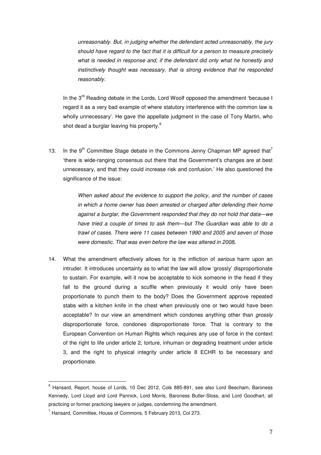unreasonably. But, in judging whether the defendant acted unreasonably, the jury should have regard to the fact that it is difficult for a person to measure precisely what is needed in response and, if the defendant did only what he honestly and instinctively thought was necessary, that is strong evidence that he responded reasonably.

In the  $3^{rd}$  Reading debate in the Lords, Lord Woolf opposed the amendment 'because I regard it as a very bad example of where statutory interference with the common law is wholly unnecessary'. He gave the appellate judgment in the case of Tony Martin, who shot dead a burglar leaving his property.<sup>6</sup>

13. In the 9<sup>th</sup> Committee Stage debate in the Commons Jenny Chapman MP agreed that<sup>7</sup> 'there is wide-ranging consensus out there that the Government's changes are at best unnecessary, and that they could increase risk and confusion.' He also questioned the significance of the issue:

> When asked about the evidence to support the policy, and the number of cases in which a home owner has been arrested or charged after defending their home against a burglar, the Government responded that they do not hold that data—we have tried a couple of times to ask them—but The Guardian was able to do a trawl of cases. There were 11 cases between 1990 and 2005 and seven of those were domestic. That was even before the law was altered in 2008**.**

14. What the amendment effectively allows for is the infliction of *serious* harm upon an intruder. It introduces uncertainty as to what the law will allow 'grossly' disproportionate to sustain. For example, will it now be acceptable to kick someone in the head if they fall to the ground during a scuffle when previously it would only have been proportionate to punch them to the body? Does the Government approve repeated stabs with a kitchen knife in the chest when previously one or two would have been acceptable? In our view an amendment which condones anything other than grossly disproportionate force, condones disproportionate force. That is contrary to the European Convention on Human Rights which requires any use of force in the context of the right to life under article 2, torture, inhuman or degrading treatment under article 3, and the right to physical integrity under article 8 ECHR to be necessary and proportionate.

<sup>&</sup>lt;sup>6</sup> Hansard, Report, house of Lords, 10 Dec 2012, Cols 885-891, see also Lord Beecham, Baroness Kennedy, Lord Lloyd and Lord Pannick, Lord Morris, Baroness Butler-Sloss, and Lord Goodhart, all practicing or former practicing lawyers or judges, condemning the amendment.

 $7$  Hansard, Committee, House of Commons, 5 February 2013, Col 273.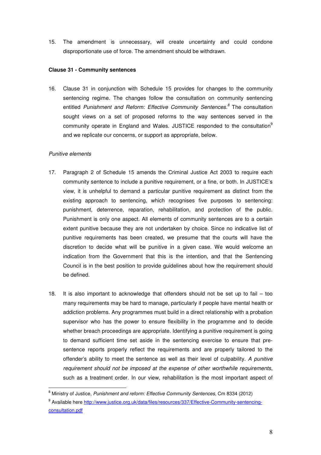15. The amendment is unnecessary, will create uncertainty and could condone disproportionate use of force. The amendment should be withdrawn.

#### **Clause 31 - Community sentences**

16. Clause 31 in conjunction with Schedule 15 provides for changes to the community sentencing regime. The changes follow the consultation on community sentencing entitled Punishment and Reform: Effective Community Sentences.<sup>8</sup> The consultation sought views on a set of proposed reforms to the way sentences served in the community operate in England and Wales. JUSTICE responded to the consultation<sup>9</sup> and we replicate our concerns, or support as appropriate, below.

#### Punitive elements

- 17. Paragraph 2 of Schedule 15 amends the Criminal Justice Act 2003 to require each community sentence to include a punitive requirement, or a fine, or both. In JUSTICE's view, it is unhelpful to demand a particular punitive requirement as distinct from the existing approach to sentencing, which recognises five purposes to sentencing: punishment, deterrence, reparation, rehabilitation, and protection of the public. Punishment is only one aspect. All elements of community sentences are to a certain extent punitive because they are not undertaken by choice. Since no indicative list of punitive requirements has been created, we presume that the courts will have the discretion to decide what will be punitive in a given case. We would welcome an indication from the Government that this is the intention, and that the Sentencing Council is in the best position to provide guidelines about how the requirement should be defined.
- 18. It is also important to acknowledge that offenders should not be set up to fail too many requirements may be hard to manage, particularly if people have mental health or addiction problems. Any programmes must build in a direct relationship with a probation supervisor who has the power to ensure flexibility in the programme and to decide whether breach proceedings are appropriate. Identifying a punitive requirement is going to demand sufficient time set aside in the sentencing exercise to ensure that presentence reports properly reflect the requirements and are properly tailored to the offender's ability to meet the sentence as well as their level of culpability. A punitive requirement should not be imposed at the expense of other worthwhile requirements, such as a treatment order. In our view, rehabilitation is the most important aspect of

<sup>&</sup>lt;sup>8</sup> Ministry of Justice, Punishment and reform: Effective Community Sentences, Cm 8334 (2012)

<sup>&</sup>lt;sup>9</sup> Available here http://www.justice.org.uk/data/files/resources/337/Effective-Community-sentencingconsultation.pdf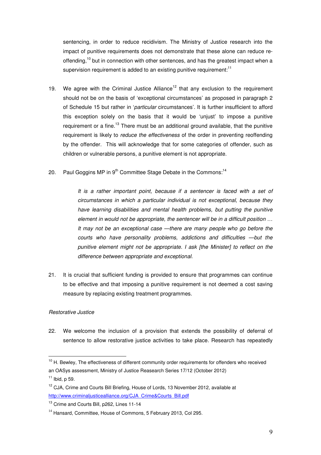sentencing, in order to reduce recidivism. The Ministry of Justice research into the impact of punitive requirements does not demonstrate that these alone can reduce reoffending,<sup>10</sup> but in connection with other sentences, and has the greatest impact when a supervision requirement is added to an existing punitive requirement: $11$ 

- 19. We agree with the Criminal Justice Alliance<sup>12</sup> that any exclusion to the requirement should not be on the basis of 'exceptional circumstances' as proposed in paragraph 2 of Schedule 15 but rather in 'particular circumstances'. It is further insufficient to afford this exception solely on the basis that it would be 'unjust' to impose a punitive requirement or a fine.<sup>13</sup> There must be an additional ground available, that the punitive requirement is likely to *reduce the effectiveness* of the order in preventing reoffending by the offender. This will acknowledge that for some categories of offender, such as children or vulnerable persons, a punitive element is not appropriate.
- 20. Paul Goggins MP in  $9<sup>th</sup>$  Committee Stage Debate in the Commons:<sup>14</sup>

It is a rather important point, because if a sentencer is faced with a set of circumstances in which a particular individual is not exceptional, because they have learning disabilities and mental health problems, but putting the punitive element in would not be appropriate, the sentencer will be in a difficult position … It may not be an exceptional case —there are many people who go before the courts who have personality problems, addictions and difficulties —but the punitive element might not be appropriate. I ask [the Minister] to reflect on the difference between appropriate and exceptional.

21. It is crucial that sufficient funding is provided to ensure that programmes can continue to be effective and that imposing a punitive requirement is not deemed a cost saving measure by replacing existing treatment programmes.

#### Restorative Justice

l.

22. We welcome the inclusion of a provision that extends the possibility of deferral of sentence to allow restorative justice activities to take place. Research has repeatedly

<sup>&</sup>lt;sup>10</sup> H. Bewley, The effectiveness of different community order requirements for offenders who received an OASys assessment, Ministry of Justice Reasearch Series 17/12 (October 2012)  $11$  Ibid, p 59.

<sup>&</sup>lt;sup>12</sup> CJA, Crime and Courts Bill Briefing, House of Lords, 13 November 2012, available at http://www.criminaliusticealliance.org/CJA\_Crime&Courts\_Bill.pdf

<sup>&</sup>lt;sup>13</sup> Crime and Courts Bill, p262, Lines 11-14

<sup>&</sup>lt;sup>14</sup> Hansard, Committee, House of Commons, 5 February 2013, Col 295.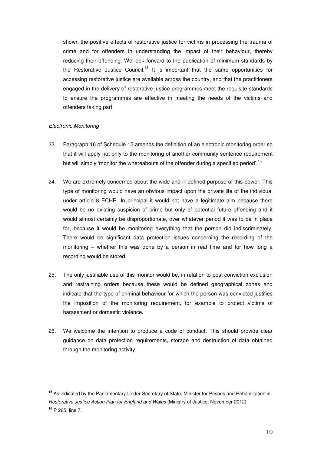shown the positive effects of restorative justice for victims in processing the trauma of crime and for offenders in understanding the impact of their behaviour, thereby reducing their offending. We look forward to the publication of minimum standards by the Restorative Justice Council.<sup>15</sup> It is important that the same opportunities for accessing restorative justice are available across the country, and that the practitioners engaged in the delivery of restorative justice programmes meet the requisite standards to ensure the programmes are effective in meeting the needs of the victims and offenders taking part.

#### Electronic Monitoring

- 23. Paragraph 16 of Schedule 15 amends the definition of an electronic monitoring order so that it will apply not only to the monitoring of another community sentence requirement but will simply 'monitor the whereabouts of the offender during a specified period'.<sup>16</sup>
- 24. We are extremely concerned about the wide and ill-defined purpose of this power. This type of monitoring would have an obvious impact upon the private life of the individual under article 8 ECHR. In principal it would not have a legitimate aim because there would be no existing suspicion of crime but only of potential future offending and it would almost certainly be disproportionate, over whatever period it was to be in place for, because it would be monitoring everything that the person did indiscriminately. There would be significant data protection issues concerning the recording of the monitoring – whether this was done by a person in real time and for how long a recording would be stored.
- 25. The only justifiable use of this monitor would be, in relation to post conviction exclusion and restraining orders because these would be defined geographical zones and indicate that the type of criminal behaviour for which the person was convicted justifies the imposition of the monitoring requirement, for example to protect victims of harassment or domestic violence.
- 26. We welcome the intention to produce a code of conduct. This should provide clear guidance on data protection requirements, storage and destruction of data obtained through the monitoring activity.

<sup>&</sup>lt;sup>15</sup> As indicated by the Parliamentary Under-Secretary of State, Minister for Prisons and Rehabilitation in Restorative Justice Action Plan for England and Wales (Ministry of Justice, November 2012) <sup>16</sup> P 265, line 7.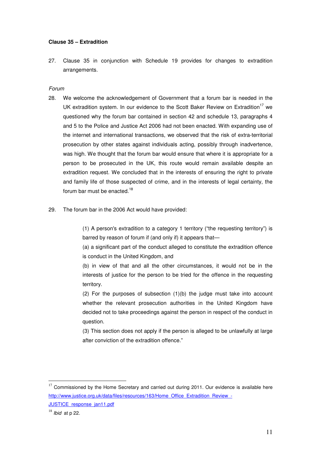#### **Clause 35 – Extradition**

27. Clause 35 in conjunction with Schedule 19 provides for changes to extradition arrangements.

#### Forum

- 28. We welcome the acknowledgement of Government that a forum bar is needed in the UK extradition system. In our evidence to the Scott Baker Review on Extradition<sup>17</sup> we questioned why the forum bar contained in section 42 and schedule 13, paragraphs 4 and 5 to the Police and Justice Act 2006 had not been enacted. With expanding use of the internet and international transactions, we observed that the risk of extra-territorial prosecution by other states against individuals acting, possibly through inadvertence, was high. We thought that the forum bar would ensure that where it is appropriate for a person to be prosecuted in the UK, this route would remain available despite an extradition request. We concluded that in the interests of ensuring the right to private and family life of those suspected of crime, and in the interests of legal certainty, the forum bar must be enacted.<sup>18</sup>
- 29. The forum bar in the 2006 Act would have provided:

(1) A person's extradition to a category 1 territory ("the requesting territory") is barred by reason of forum if (and only if) it appears that—

(a) a significant part of the conduct alleged to constitute the extradition offence is conduct in the United Kingdom, and

(b) in view of that and all the other circumstances, it would not be in the interests of justice for the person to be tried for the offence in the requesting territory.

(2) For the purposes of subsection (1)(b) the judge must take into account whether the relevant prosecution authorities in the United Kingdom have decided not to take proceedings against the person in respect of the conduct in question.

(3) This section does not apply if the person is alleged to be unlawfully at large after conviction of the extradition offence."

 $17$  Commissioned by the Home Secretary and carried out during 2011. Our evidence is available here http://www.justice.org.uk/data/files/resources/163/Home\_Office\_Extradition\_Review\_-JUSTICE\_response\_jan11.pdf

 $18$  *Ibid* at p 22.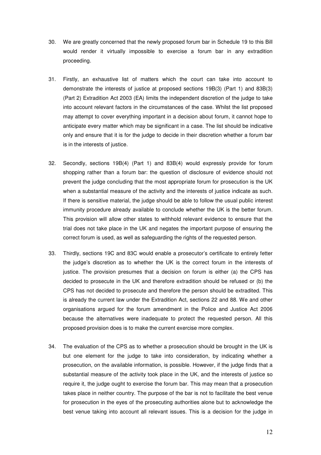- 30. We are greatly concerned that the newly proposed forum bar in Schedule 19 to this Bill would render it virtually impossible to exercise a forum bar in any extradition proceeding.
- 31. Firstly, an exhaustive list of matters which the court can take into account to demonstrate the interests of justice at proposed sections 19B(3) (Part 1) and 83B(3) (Part 2) Extradition Act 2003 (EA) limits the independent discretion of the judge to take into account relevant factors in the circumstances of the case. Whilst the list proposed may attempt to cover everything important in a decision about forum, it cannot hope to anticipate every matter which may be significant in a case. The list should be indicative only and ensure that it is for the judge to decide in their discretion whether a forum bar is in the interests of justice.
- 32. Secondly, sections 19B(4) (Part 1) and 83B(4) would expressly provide for forum shopping rather than a forum bar: the question of disclosure of evidence should not prevent the judge concluding that the most appropriate forum for prosecution is the UK when a substantial measure of the activity and the interests of justice indicate as such. If there is sensitive material, the judge should be able to follow the usual public interest immunity procedure already available to conclude whether the UK is the better forum. This provision will allow other states to withhold relevant evidence to ensure that the trial does not take place in the UK and negates the important purpose of ensuring the correct forum is used, as well as safeguarding the rights of the requested person.
- 33. Thirdly, sections 19C and 83C would enable a prosecutor's certificate to entirely fetter the judge's discretion as to whether the UK is the correct forum in the interests of justice. The provision presumes that a decision on forum is either (a) the CPS has decided to prosecute in the UK and therefore extradition should be refused or (b) the CPS has not decided to prosecute and therefore the person should be extradited. This is already the current law under the Extradition Act, sections 22 and 88. We and other organisations argued for the forum amendment in the Police and Justice Act 2006 because the alternatives were inadequate to protect the requested person. All this proposed provision does is to make the current exercise more complex.
- 34. The evaluation of the CPS as to whether a prosecution should be brought in the UK is but one element for the judge to take into consideration, by indicating whether a prosecution, on the available information, is possible. However, if the judge finds that a substantial measure of the activity took place in the UK, and the interests of justice so require it, the judge ought to exercise the forum bar. This may mean that a prosecution takes place in neither country. The purpose of the bar is not to facilitate the best venue for prosecution in the eyes of the prosecuting authorities alone but to acknowledge the best venue taking into account all relevant issues. This is a decision for the judge in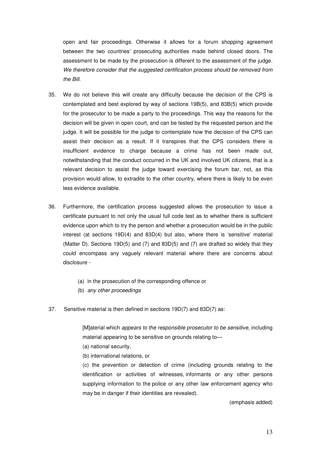open and fair proceedings. Otherwise it allows for a forum shopping agreement between the two countries' prosecuting authorities made behind closed doors. The assessment to be made by the prosecution is different to the assessment of the judge. We therefore consider that the suggested certification process should be removed from the Bill.

- 35. We do not believe this will create any difficulty because the decision of the CPS is contemplated and best explored by way of sections 19B(5), and 83B(5) which provide for the prosecutor to be made a party to the proceedings. This way the reasons for the decision will be given in open court, and can be tested by the requested person and the judge. It will be possible for the judge to contemplate how the decision of the CPS can assist their decision as a result. If it transpires that the CPS considers there is insufficient evidence to charge because a crime has not been made out, notwithstanding that the conduct occurred in the UK and involved UK citizens, that is a relevant decision to assist the judge toward exercising the forum bar, not, as this provision would allow, to extradite to the other country, where there is likely to be even less evidence available.
- 36. Furthermore, the certification process suggested allows the prosecution to issue a certificate pursuant to not only the usual full code test as to whether there is sufficient evidence upon which to try the person and whether a prosecution would be in the public interest (at sections 19D(4) and 83D(4) but also, where there is 'sensitive' material (Matter D). Sections 19D(5) and (7) and 83D(5) and (7) are drafted so widely that they could encompass any vaguely relevant material where there are concerns about disclosure -
	- (a) in the prosecution of the corresponding offence or
	- (b) any other proceedings
- 37. Sensitive material is then defined in sections 19D(7) and 83D(7) as:

[M]aterial which appears to the responsible prosecutor to be sensitive, including material appearing to be sensitive on grounds relating to—

(a) national security,

(b) international relations, or

(c) the prevention or detection of crime (including grounds relating to the identification or activities of witnesses, informants or any other persons supplying information to the police or any other law enforcement agency who may be in danger if their identities are revealed).

(emphasis added)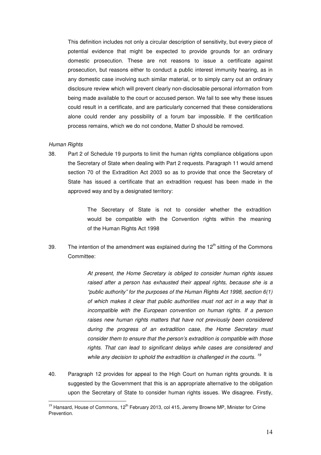This definition includes not only a circular description of sensitivity, but every piece of potential evidence that might be expected to provide grounds for an ordinary domestic prosecution. These are not reasons to issue a certificate against prosecution, but reasons either to conduct a public interest immunity hearing, as in any domestic case involving such similar material, or to simply carry out an ordinary disclosure review which will prevent clearly non-disclosable personal information from being made available to the court or accused person. We fail to see why these issues could result in a certificate, and are particularly concerned that these considerations alone could render any possibility of a forum bar impossible. If the certification process remains, which we do not condone, Matter D should be removed.

#### Human Rights

l.

38. Part 2 of Schedule 19 purports to limit the human rights compliance obligations upon the Secretary of State when dealing with Part 2 requests. Paragraph 11 would amend section 70 of the Extradition Act 2003 so as to provide that once the Secretary of State has issued a certificate that an extradition request has been made in the approved way and by a designated territory:

> The Secretary of State is not to consider whether the extradition would be compatible with the Convention rights within the meaning of the Human Rights Act 1998

39. The intention of the amendment was explained during the  $12<sup>th</sup>$  sitting of the Commons Committee:

> At present, the Home Secretary is obliged to consider human rights issues raised after a person has exhausted their appeal rights, because she is a "public authority" for the purposes of the Human Rights Act 1998, section 6(1) of which makes it clear that public authorities must not act in a way that is incompatible with the European convention on human rights. If a person raises new human rights matters that have not previously been considered during the progress of an extradition case, the Home Secretary must consider them to ensure that the person's extradition is compatible with those rights. That can lead to significant delays while cases are considered and while any decision to uphold the extradition is challenged in the courts.  $19$

40. Paragraph 12 provides for appeal to the High Court on human rights grounds. It is suggested by the Government that this is an appropriate alternative to the obligation upon the Secretary of State to consider human rights issues. We disagree. Firstly,

 $19$  Hansard, House of Commons, 12<sup>th</sup> February 2013, col 415, Jeremy Browne MP, Minister for Crime Prevention.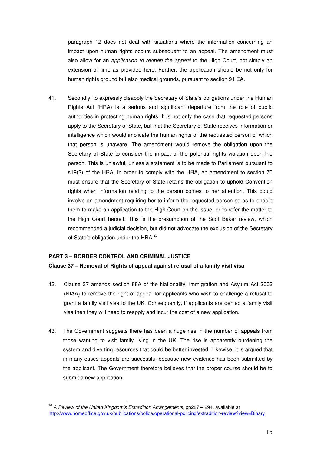paragraph 12 does not deal with situations where the information concerning an impact upon human rights occurs subsequent to an appeal. The amendment must also allow for an application to reopen the appeal to the High Court, not simply an extension of time as provided here. Further, the application should be not only for human rights ground but also medical grounds, pursuant to section 91 EA.

41. Secondly, to expressly disapply the Secretary of State's obligations under the Human Rights Act (HRA) is a serious and significant departure from the role of public authorities in protecting human rights. It is not only the case that requested persons apply to the Secretary of State, but that the Secretary of State receives information or intelligence which would implicate the human rights of the requested person of which that person is unaware. The amendment would remove the obligation upon the Secretary of State to consider the impact of the potential rights violation upon the person. This is unlawful, unless a statement is to be made to Parliament pursuant to s19(2) of the HRA. In order to comply with the HRA, an amendment to section 70 must ensure that the Secretary of State retains the obligation to uphold Convention rights when information relating to the person comes to her attention. This could involve an amendment requiring her to inform the requested person so as to enable them to make an application to the High Court on the issue, or to refer the matter to the High Court herself. This is the presumption of the Scot Baker review, which recommended a judicial decision, but did not advocate the exclusion of the Secretary of State's obligation under the HRA.<sup>20</sup>

#### **PART 3 – BORDER CONTROL AND CRIMINAL JUSTICE**

l.

#### **Clause 37 – Removal of Rights of appeal against refusal of a family visit visa**

- 42. Clause 37 amends section 88A of the Nationality, Immigration and Asylum Act 2002 (NIAA) to remove the right of appeal for applicants who wish to challenge a refusal to grant a family visit visa to the UK. Consequently, if applicants are denied a family visit visa then they will need to reapply and incur the cost of a new application.
- 43. The Government suggests there has been a huge rise in the number of appeals from those wanting to visit family living in the UK. The rise is apparently burdening the system and diverting resources that could be better invested. Likewise, it is argued that in many cases appeals are successful because new evidence has been submitted by the applicant. The Government therefore believes that the proper course should be to submit a new application.

 $^{20}$  A Review of the United Kingdom's Extradition Arrangements, pp287 - 294, available at http://www.homeoffice.gov.uk/publications/police/operational-policing/extradition-review?view=Binary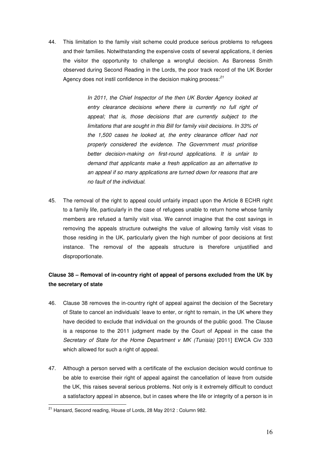44. This limitation to the family visit scheme could produce serious problems to refugees and their families. Notwithstanding the expensive costs of several applications, it denies the visitor the opportunity to challenge a wrongful decision. As Baroness Smith observed during Second Reading in the Lords, the poor track record of the UK Border Agency does not instil confidence in the decision making process: $^{21}$ 

> In 2011, the Chief Inspector of the then UK Border Agency looked at entry clearance decisions where there is currently no full right of appeal; that is, those decisions that are currently subject to the limitations that are sought in this Bill for family visit decisions. In 33% of the 1,500 cases he looked at, the entry clearance officer had not properly considered the evidence. The Government must prioritise better decision-making on first-round applications. It is unfair to demand that applicants make a fresh application as an alternative to an appeal if so many applications are turned down for reasons that are no fault of the individual.

45. The removal of the right to appeal could unfairly impact upon the Article 8 ECHR right to a family life, particularly in the case of refugees unable to return home whose family members are refused a family visit visa. We cannot imagine that the cost savings in removing the appeals structure outweighs the value of allowing family visit visas to those residing in the UK, particularly given the high number of poor decisions at first instance. The removal of the appeals structure is therefore unjustified and disproportionate.

# **Clause 38 – Removal of in-country right of appeal of persons excluded from the UK by the secretary of state**

- 46. Clause 38 removes the in-country right of appeal against the decision of the Secretary of State to cancel an individuals' leave to enter, or right to remain, in the UK where they have decided to exclude that individual on the grounds of the public good. The Clause is a response to the 2011 judgment made by the Court of Appeal in the case the Secretary of State for the Home Department v MK (Tunisia) [2011] EWCA Civ 333 which allowed for such a right of appeal.
- 47. Although a person served with a certificate of the exclusion decision would continue to be able to exercise their right of appeal against the cancellation of leave from outside the UK, this raises several serious problems. Not only is it extremely difficult to conduct a satisfactory appeal in absence, but in cases where the life or integrity of a person is in  $\overline{a}$

<sup>&</sup>lt;sup>21</sup> Hansard. Second reading, House of Lords, 28 May 2012 : Column 982.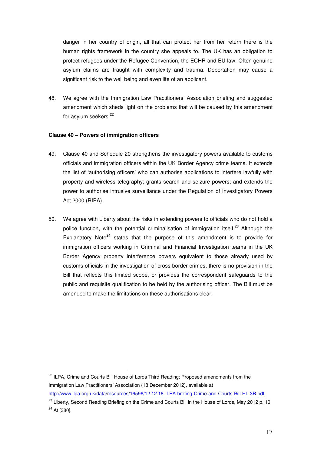danger in her country of origin, all that can protect her from her return there is the human rights framework in the country she appeals to. The UK has an obligation to protect refugees under the Refugee Convention, the ECHR and EU law. Often genuine asylum claims are fraught with complexity and trauma. Deportation may cause a significant risk to the well being and even life of an applicant.

48. We agree with the Immigration Law Practitioners' Association briefing and suggested amendment which sheds light on the problems that will be caused by this amendment for asylum seekers.<sup>22</sup>

#### **Clause 40 – Powers of immigration officers**

- 49. Clause 40 and Schedule 20 strengthens the investigatory powers available to customs officials and immigration officers within the UK Border Agency crime teams. It extends the list of 'authorising officers' who can authorise applications to interfere lawfully with property and wireless telegraphy; grants search and seizure powers; and extends the power to authorise intrusive surveillance under the Regulation of Investigatory Powers Act 2000 (RIPA).
- 50. We agree with Liberty about the risks in extending powers to officials who do not hold a police function, with the potential criminalisation of immigration itself.<sup>23</sup> Although the Explanatory Note<sup>24</sup> states that the purpose of this amendment is to provide for immigration officers working in Criminal and Financial Investigation teams in the UK Border Agency property interference powers equivalent to those already used by customs officials in the investigation of cross border crimes, there is no provision in the Bill that reflects this limited scope, or provides the correspondent safeguards to the public and requisite qualification to be held by the authorising officer. The Bill must be amended to make the limitations on these authorisations clear.

<sup>&</sup>lt;sup>22</sup> ILPA, Crime and Courts Bill House of Lords Third Reading: Proposed amendments from the Immigration Law Practitioners' Association (18 December 2012), available at http://www.ilpa.org.uk/data/resources/16596/12.12.18-ILPA-brefing-Crime-and-Courts-Bill-HL-3R.pdf

<sup>&</sup>lt;sup>23</sup> Liberty, Second Reading Briefing on the Crime and Courts Bill in the House of Lords, May 2012 p. 10. <sup>24</sup> At [380].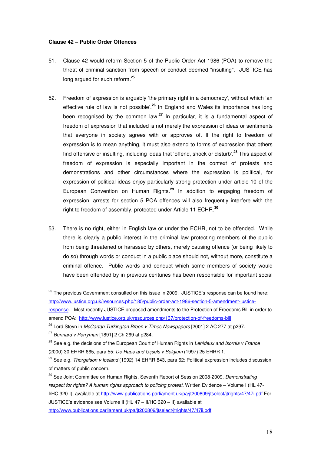#### **Clause 42 – Public Order Offences**

- 51. Clause 42 would reform Section 5 of the Public Order Act 1986 (POA) to remove the threat of criminal sanction from speech or conduct deemed "insulting". JUSTICE has long argued for such reform.<sup>25</sup>
- 52. Freedom of expression is arguably 'the primary right in a democracy', without which 'an effective rule of law is not possible'.**<sup>26</sup>** In England and Wales its importance has long been recognised by the common law:**<sup>27</sup>** In particular, it is a fundamental aspect of freedom of expression that included is not merely the expression of ideas or sentiments that everyone in society agrees with or approves of. If the right to freedom of expression is to mean anything, it must also extend to forms of expression that others find offensive or insulting, including ideas that 'offend, shock or disturb'.**<sup>28</sup>** This aspect of freedom of expression is especially important in the context of protests and demonstrations and other circumstances where the expression is political, for expression of political ideas enjoy particularly strong protection under article 10 of the European Convention on Human Rights.**<sup>29</sup>** In addition to engaging freedom of expression, arrests for section 5 POA offences will also frequently interfere with the right to freedom of assembly, protected under Article 11 ECHR.**<sup>30</sup>**
- 53. There is no right, either in English law or under the ECHR, not to be offended. While there is clearly a public interest in the criminal law protecting members of the public from being threatened or harassed by others, merely causing offence (or being likely to do so) through words or conduct in a public place should not, without more, constitute a criminal offence. Public words and conduct which some members of society would have been offended by in previous centuries has been responsible for important social

 $25$  The previous Government consulted on this issue in 2009. JUSTICE's response can be found here: http://www.justice.org.uk/resources.php/185/public-order-act-1986-section-5-amendment-justice-

response. Most recently JUSTICE proposed amendments to the Protection of Freedoms Bill in order to amend POA: http://www.justice.org.uk/resources.php/137/protection-of-freedoms-bill

<sup>&</sup>lt;sup>26</sup> Lord Steyn in McCartan Turkington Breen v Times Newspapers [2001] 2 AC 277 at p297.

 $27$  Bonnard v Perryman [1891] 2 Ch 269 at p284.

 $28$  See e.g. the decisions of the European Court of Human Rights in Lehideux and Isornia v France (2000) 30 EHRR 665, para 55; De Haes and Gijsels v Belgium (1997) 25 EHRR 1.

<sup>&</sup>lt;sup>29</sup> See e.g. Thorgeison v Iceland (1992) 14 EHRR 843, para 62: Political expression includes discussion of matters of public concern.

<sup>&</sup>lt;sup>30</sup> See Joint Committee on Human Rights, Seventh Report of Session 2008-2009, Demonstrating respect for rights? A human rights approach to policing protest, Written Evidence – Volume I (HL 47- I/HC 320-I), available at http://www.publications.parliament.uk/pa/jt200809/jtselect/jtrights/47/47i.pdf For JUSTICE's evidence see Volume II (HL 47 – II/HC 320 – II) available at http://www.publications.parliament.uk/pa/jt200809/jtselect/jtrights/47/47ii.pdf